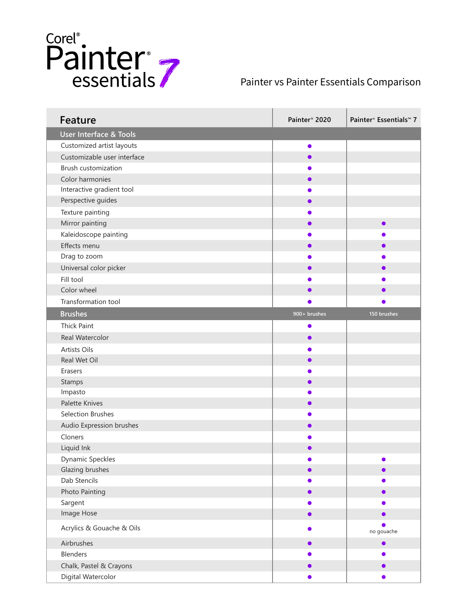

## Painter vs Painter Essentials Comparison

| <b>Feature</b>                    | Painter <sup>®</sup> 2020 | Painter <sup>®</sup> Essentials <sup>™</sup> 7 |
|-----------------------------------|---------------------------|------------------------------------------------|
| <b>User Interface &amp; Tools</b> |                           |                                                |
| Customized artist layouts         | $\bullet$                 |                                                |
| Customizable user interface       | $\bullet$                 |                                                |
| Brush customization               |                           |                                                |
| Color harmonies                   |                           |                                                |
| Interactive gradient tool         |                           |                                                |
| Perspective guides                |                           |                                                |
| Texture painting                  |                           |                                                |
| Mirror painting                   |                           | $\bullet$                                      |
| Kaleidoscope painting             |                           |                                                |
| Effects menu                      |                           |                                                |
| Drag to zoom                      |                           |                                                |
| Universal color picker            |                           |                                                |
| Fill tool                         |                           |                                                |
| Color wheel                       |                           |                                                |
| Transformation tool               |                           |                                                |
| <b>Brushes</b>                    | 900+ brushes              | 150 brushes                                    |
| <b>Thick Paint</b>                | $\bullet$                 |                                                |
| Real Watercolor                   | $\bullet$                 |                                                |
| Artists Oils                      |                           |                                                |
| Real Wet Oil                      |                           |                                                |
| Erasers                           |                           |                                                |
| Stamps                            |                           |                                                |
| Impasto                           |                           |                                                |
| Palette Knives                    |                           |                                                |
| Selection Brushes                 |                           |                                                |
| Audio Expression brushes          |                           |                                                |
| Cloners                           |                           |                                                |
| Liquid Ink                        |                           |                                                |
| <b>Dynamic Speckles</b>           |                           |                                                |
| Glazing brushes                   |                           |                                                |
| Dab Stencils                      |                           |                                                |
| Photo Painting                    |                           | 0                                              |
| Sargent                           |                           |                                                |
| Image Hose                        | ●                         | ●                                              |
| Acrylics & Gouache & Oils         |                           | no gouache                                     |
| Airbrushes                        |                           | $\bullet$                                      |
| <b>Blenders</b>                   |                           |                                                |
| Chalk, Pastel & Crayons           |                           |                                                |
| Digital Watercolor                |                           |                                                |